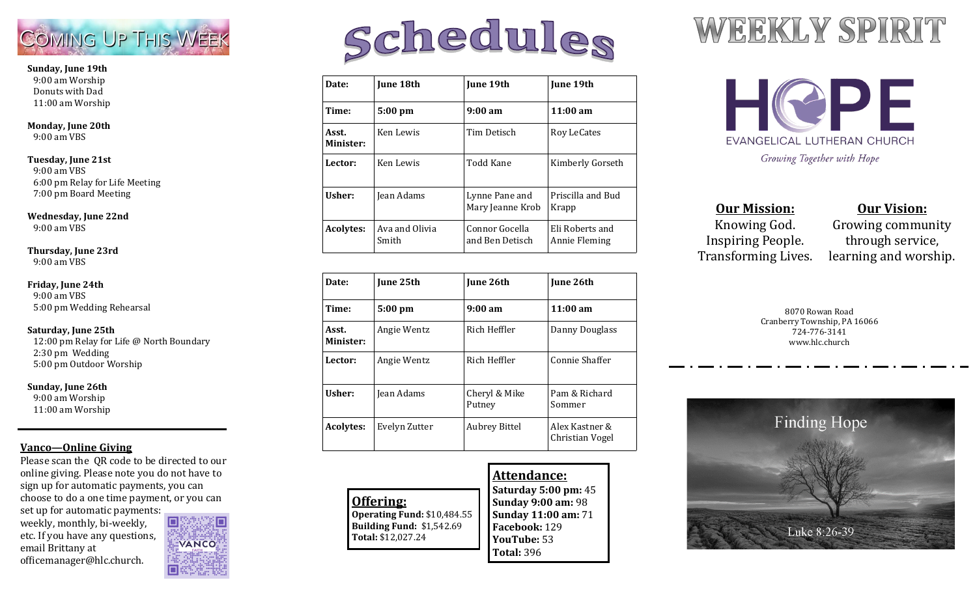

#### **Sunday, June 19th** 9:00 am Worship Donuts with Dad 11:00 am Worship

**Monday, June 20th** 9:00 am VBS

#### **Tuesday, June 21st**

 9:00 am VBS 6:00 pm Relay for Life Meeting 7:00 pm Board Meeting

#### **Wednesday, June 22nd**

 $9.00$  am VBS

#### **Thursday, June 23rd**

9:00 am VBS

#### **Friday, June 24th**

 9:00 am VBS 5:00 pm Wedding Rehearsal

#### **Saturday, June 25th**

 12:00 pm Relay for Life @ North Boundary 2:30 pm Wedding 5:00 pm Outdoor Worship

#### **Sunday, June 26th**

 9:00 am Worship 11:00 am Worship

#### **Vanco—Online Giving**

Please scan the QR code to be directed to our online giving. Please note you do not have to sign up for automatic payments, you can choose to do a one time payment, or you can set up for automatic payments:

weekly, monthly, bi-weekly, etc. If you have any questions, email Brittany at officemanager@hlc.church.



# Schedules

| Date:              | <b>June 18th</b>        | June 19th                          | June 19th                        |
|--------------------|-------------------------|------------------------------------|----------------------------------|
| Time:              | 5:00 pm                 | $9:00 \text{ am}$                  | 11:00 am                         |
| Asst.<br>Minister: | Ken Lewis               | Tim Detisch                        | Roy LeCates                      |
| Lector:            | Ken Lewis               | Todd Kane                          | Kimberly Gorseth                 |
| Usher:             | Jean Adams              | Lynne Pane and<br>Mary Jeanne Krob | Priscilla and Bud<br>Krapp       |
| Acolytes:          | Ava and Olivia<br>Smith | Connor Gocella<br>and Ben Detisch  | Eli Roberts and<br>Annie Fleming |

| Date:              | June 25th         | <b>June 26th</b>        | June 26th                         |
|--------------------|-------------------|-------------------------|-----------------------------------|
| Time:              | $5:00 \text{ pm}$ | $9:00 \text{ am}$       | $11:00 \text{ am}$                |
| Asst.<br>Minister: | Angie Wentz       | Rich Heffler            | Danny Douglass                    |
| Lector:            | Angie Wentz       | Rich Heffler            | Connie Shaffer                    |
| Usher:             | Jean Adams        | Cheryl & Mike<br>Putney | Pam & Richard<br>Sommer           |
| <b>Acolytes:</b>   | Evelyn Zutter     | <b>Aubrey Bittel</b>    | Alex Kastner &<br>Christian Vogel |

|                             | Attendance:                 |
|-----------------------------|-----------------------------|
|                             | <b>Saturday 5:00 pm: 45</b> |
| Offering:                   | Sunday 9:00 am: 98          |
| Operating Fund: \$10,484.55 | <b>Sunday 11:00 am: 71</b>  |
| Building Fund: \$1,542.69   | Facebook: 129               |
| Total: \$12,027.24          | <b>YouTube: 53</b>          |
|                             | <b>Total: 396</b>           |

## WEEKLY SPIRIT



**Our Mission:** Knowing God. Inspiring People. Transforming Lives.

#### **Our Vision:**

Growing community through service, learning and worship.

8070 Rowan Road Cranberry Township, PA 16066 724-776-3141 www.hlc.church